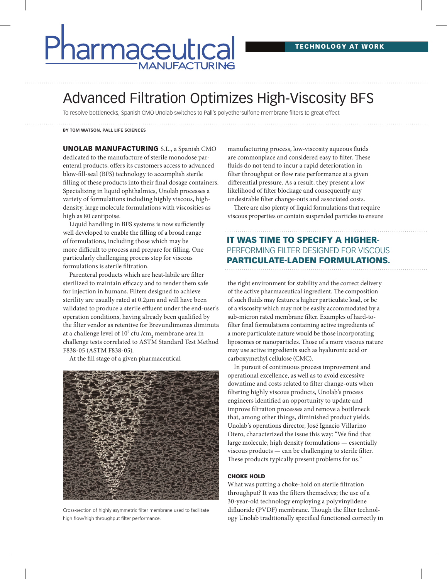# armaceutica **MANUFACTURING**

## Advanced Filtration Optimizes High-Viscosity BFS

To resolve bottlenecks, Spanish CMO Unolab switches to Pall's polyethersulfone membrane filters to great effect

#### **BY TOM WATSON, PALL LIFE SCIENCES**

UNOLAB MANUFACTURING S.L., a Spanish CMO dedicated to the manufacture of sterile monodose parenteral products, offers its customers access to advanced blow-fill-seal (BFS) technology to accomplish sterile filling of these products into their final dosage containers. Specializing in liquid ophthalmics, Unolab processes a variety of formulations including highly viscous, highdensity, large molecule formulations with viscosities as high as 80 centipoise.

Liquid handling in BFS systems is now sufficiently well developed to enable the filling of a broad range of formulations, including those which may be more difficult to process and prepare for filling. One particularly challenging process step for viscous formulations is sterile filtration.

Parenteral products which are heat-labile are filter sterilized to maintain efficacy and to render them safe for injection in humans. Filters designed to achieve sterility are usually rated at 0.2µm and will have been validated to produce a sterile effluent under the end-user's operation conditions, having already been qualified by the filter vendor as retentive for Brevundimonas diminuta at a challenge level of  $10^7$  cfu /cm<sub>2</sub> membrane area in challenge tests correlated to ASTM Standard Test Method F838-05 (ASTM F838-05).

At the fill stage of a given pharmaceutical



Cross-section of highly asymmetric filter membrane used to facilitate high flow/high throughput filter performance.

manufacturing process, low-viscosity aqueous fluids are commonplace and considered easy to filter. These fluids do not tend to incur a rapid deterioration in filter throughput or flow rate performance at a given differential pressure. As a result, they present a low likelihood of filter blockage and consequently any undesirable filter change-outs and associated costs.

There are also plenty of liquid formulations that require viscous properties or contain suspended particles to ensure

### IT WAS TIME TO SPECIFY A HIGHER-PERFORMING FILTER DESIGNED FOR VISCOUS PARTICULATE-LADEN FORMULATIONS.

the right environment for stability and the correct delivery of the active pharmaceutical ingredient. The composition of such fluids may feature a higher particulate load, or be of a viscosity which may not be easily accommodated by a sub-micron rated membrane filter. Examples of hard-tofilter final formulations containing active ingredients of a more particulate nature would be those incorporating liposomes or nanoparticles. Those of a more viscous nature may use active ingredients such as hyaluronic acid or carboxymethyl cellulose (CMC).

In pursuit of continuous process improvement and operational excellence, as well as to avoid excessive downtime and costs related to filter change-outs when filtering highly viscous products, Unolab's process engineers identified an opportunity to update and improve filtration processes and remove a bottleneck that, among other things, diminished product yields. Unolab's operations director, José Ignacio Villarino Otero, characterized the issue this way: "We find that large molecule, high density formulations — essentially viscous products — can be challenging to sterile filter. These products typically present problems for us."

#### CHOKE HOLD

What was putting a choke-hold on sterile filtration throughput? It was the filters themselves; the use of a 30-year-old technology employing a polyvinylidene difluoride (PVDF) membrane. Though the filter technology Unolab traditionally specified functioned correctly in